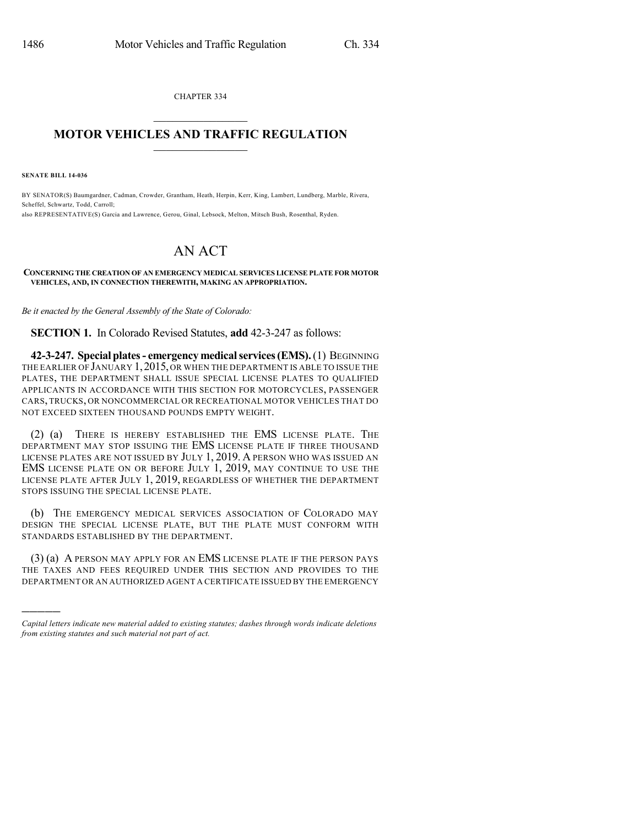CHAPTER 334  $\mathcal{L}_\text{max}$  . The set of the set of the set of the set of the set of the set of the set of the set of the set of the set of the set of the set of the set of the set of the set of the set of the set of the set of the set

## **MOTOR VEHICLES AND TRAFFIC REGULATION**  $\_$   $\_$   $\_$   $\_$   $\_$   $\_$   $\_$   $\_$   $\_$   $\_$

**SENATE BILL 14-036**

)))))

BY SENATOR(S) Baumgardner, Cadman, Crowder, Grantham, Heath, Herpin, Kerr, King, Lambert, Lundberg, Marble, Rivera, Scheffel, Schwartz, Todd, Carroll; also REPRESENTATIVE(S) Garcia and Lawrence, Gerou, Ginal, Lebsock, Melton, Mitsch Bush, Rosenthal, Ryden.

## AN ACT

## **CONCERNING THE CREATION OF AN EMERGENCY MEDICAL SERVICES LICENSE PLATE FOR MOTOR VEHICLES, AND, IN CONNECTION THEREWITH, MAKING AN APPROPRIATION.**

*Be it enacted by the General Assembly of the State of Colorado:*

**SECTION 1.** In Colorado Revised Statutes, **add** 42-3-247 as follows:

**42-3-247. Special plates- emergency medicalservices(EMS).**(1) BEGINNING THE EARLIER OF JANUARY 1,2015, OR WHEN THE DEPARTMENT IS ABLE TO ISSUE THE PLATES, THE DEPARTMENT SHALL ISSUE SPECIAL LICENSE PLATES TO QUALIFIED APPLICANTS IN ACCORDANCE WITH THIS SECTION FOR MOTORCYCLES, PASSENGER CARS, TRUCKS, OR NONCOMMERCIAL OR RECREATIONAL MOTOR VEHICLES THAT DO NOT EXCEED SIXTEEN THOUSAND POUNDS EMPTY WEIGHT.

(2) (a) THERE IS HEREBY ESTABLISHED THE EMS LICENSE PLATE. THE DEPARTMENT MAY STOP ISSUING THE EMS LICENSE PLATE IF THREE THOUSAND LICENSE PLATES ARE NOT ISSUED BY JULY 1, 2019. A PERSON WHO WAS ISSUED AN EMS LICENSE PLATE ON OR BEFORE JULY 1, 2019, MAY CONTINUE TO USE THE LICENSE PLATE AFTER JULY 1, 2019, REGARDLESS OF WHETHER THE DEPARTMENT STOPS ISSUING THE SPECIAL LICENSE PLATE.

(b) THE EMERGENCY MEDICAL SERVICES ASSOCIATION OF COLORADO MAY DESIGN THE SPECIAL LICENSE PLATE, BUT THE PLATE MUST CONFORM WITH STANDARDS ESTABLISHED BY THE DEPARTMENT.

(3) (a) A PERSON MAY APPLY FOR AN EMS LICENSE PLATE IF THE PERSON PAYS THE TAXES AND FEES REQUIRED UNDER THIS SECTION AND PROVIDES TO THE DEPARTMENT OR AN AUTHORIZED AGENT A CERTIFICATE ISSUED BY THE EMERGENCY

*Capital letters indicate new material added to existing statutes; dashes through words indicate deletions from existing statutes and such material not part of act.*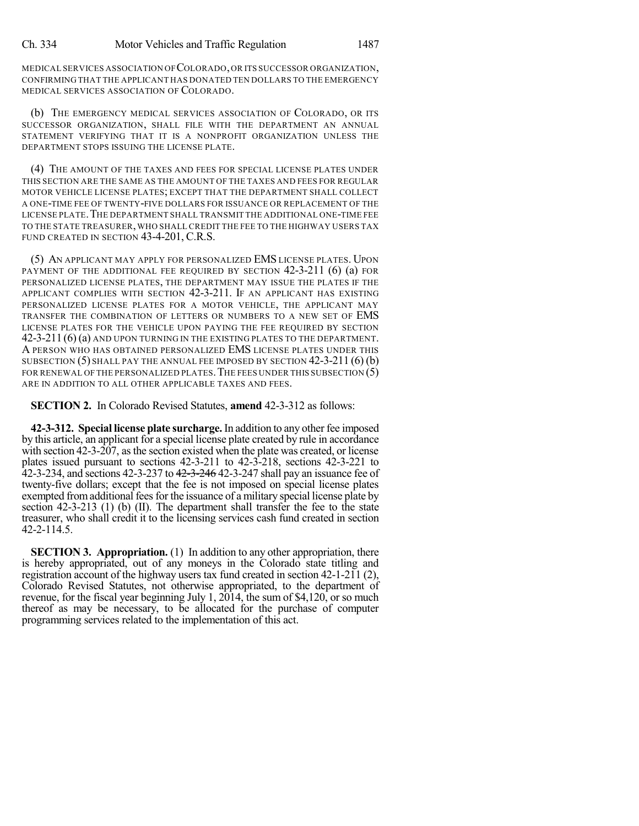MEDICAL SERVICES ASSOCIATION OFCOLORADO,OR ITS SUCCESSOR ORGANIZATION, CONFIRMING THAT THE APPLICANT HAS DONATED TEN DOLLARS TO THE EMERGENCY MEDICAL SERVICES ASSOCIATION OF COLORADO.

(b) THE EMERGENCY MEDICAL SERVICES ASSOCIATION OF COLORADO, OR ITS SUCCESSOR ORGANIZATION, SHALL FILE WITH THE DEPARTMENT AN ANNUAL STATEMENT VERIFYING THAT IT IS A NONPROFIT ORGANIZATION UNLESS THE DEPARTMENT STOPS ISSUING THE LICENSE PLATE.

(4) THE AMOUNT OF THE TAXES AND FEES FOR SPECIAL LICENSE PLATES UNDER THIS SECTION ARE THE SAME AS THE AMOUNT OF THE TAXES AND FEES FOR REGULAR MOTOR VEHICLE LICENSE PLATES; EXCEPT THAT THE DEPARTMENT SHALL COLLECT A ONE-TIME FEE OF TWENTY-FIVE DOLLARS FOR ISSUANCE OR REPLACEMENT OF THE LICENSE PLATE. THE DEPARTMENT SHALL TRANSMIT THE ADDITIONAL ONE-TIME FEE TO THE STATE TREASURER,WHO SHALL CREDIT THE FEE TO THE HIGHWAY USERS TAX FUND CREATED IN SECTION 43-4-201, C.R.S.

(5) AN APPLICANT MAY APPLY FOR PERSONALIZED EMS LICENSE PLATES. UPON PAYMENT OF THE ADDITIONAL FEE REQUIRED BY SECTION 42-3-211 (6) (a) FOR PERSONALIZED LICENSE PLATES, THE DEPARTMENT MAY ISSUE THE PLATES IF THE APPLICANT COMPLIES WITH SECTION 42-3-211. IF AN APPLICANT HAS EXISTING PERSONALIZED LICENSE PLATES FOR A MOTOR VEHICLE, THE APPLICANT MAY TRANSFER THE COMBINATION OF LETTERS OR NUMBERS TO A NEW SET OF EMS LICENSE PLATES FOR THE VEHICLE UPON PAYING THE FEE REQUIRED BY SECTION 42-3-211 (6) (a) AND UPON TURNING IN THE EXISTING PLATES TO THE DEPARTMENT. A PERSON WHO HAS OBTAINED PERSONALIZED EMS LICENSE PLATES UNDER THIS SUBSECTION (5) SHALL PAY THE ANNUAL FEE IMPOSED BY SECTION 42-3-211 (6) (b) FOR RENEWAL OF THE PERSONALIZED PLATES. THE FEES UNDER THIS SUBSECTION  $(5)$ ARE IN ADDITION TO ALL OTHER APPLICABLE TAXES AND FEES.

**SECTION 2.** In Colorado Revised Statutes, **amend** 42-3-312 as follows:

**42-3-312. Special license plate surcharge.** In addition to any other fee imposed by this article, an applicant for a special license plate created by rule in accordance with section 42-3-207, asthe section existed when the plate was created, or license plates issued pursuant to sections 42-3-211 to 42-3-218, sections 42-3-221 to 42-3-234, and sections 42-3-237 to 42-3-246 42-3-247 shall pay an issuance fee of twenty-five dollars; except that the fee is not imposed on special license plates exempted from additional fees for the issuance of a military special license plate by section 42-3-213 (1) (b) (II). The department shall transfer the fee to the state treasurer, who shall credit it to the licensing services cash fund created in section 42-2-114.5.

**SECTION 3. Appropriation.** (1) In addition to any other appropriation, there is hereby appropriated, out of any moneys in the Colorado state titling and registration account of the highway users tax fund created in section 42-1-211 (2), Colorado Revised Statutes, not otherwise appropriated, to the department of revenue, for the fiscal year beginning July 1, 2014, the sum of \$4,120, or so much thereof as may be necessary, to be allocated for the purchase of computer programming services related to the implementation of this act.